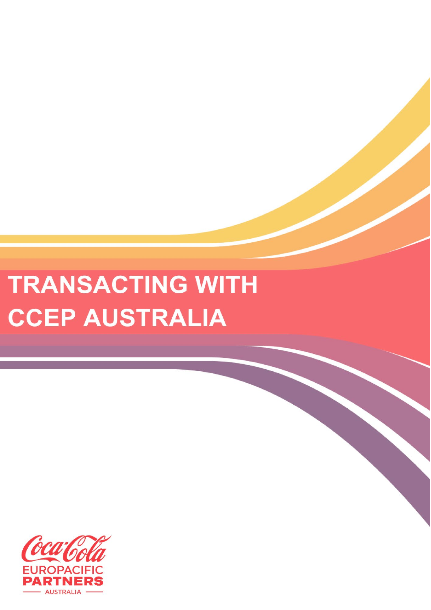## **TRANSACTING WITH CCEP AUSTRALIA**